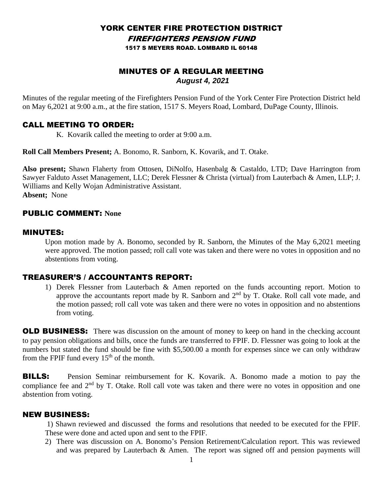#### YORK CENTER FIRE PROTECTION DISTRICT FIREFIGHTERS PENSION FUND 1517 S MEYERS ROAD. LOMBARD IL 60148

# MINUTES OF A REGULAR MEETING *August 4, 2021*

Minutes of the regular meeting of the Firefighters Pension Fund of the York Center Fire Protection District held on May 6,2021 at 9:00 a.m., at the fire station, 1517 S. Meyers Road, Lombard, DuPage County, Illinois.

### CALL MEETING TO ORDER:

K. Kovarik called the meeting to order at 9:00 a.m.

**Roll Call Members Present;** A. Bonomo, R. Sanborn, K. Kovarik, and T. Otake.

**Also present;** Shawn Flaherty from Ottosen, DiNolfo, Hasenbalg & Castaldo, LTD; Dave Harrington from Sawyer Falduto Asset Management, LLC; Derek Flessner & Christa (virtual) from Lauterbach & Amen, LLP; J. Williams and Kelly Wojan Administrative Assistant. **Absent;** None

# PUBLIC COMMENT: **None**

### MINUTES:

Upon motion made by A. Bonomo, seconded by R. Sanborn, the Minutes of the May 6,2021 meeting were approved. The motion passed; roll call vote was taken and there were no votes in opposition and no abstentions from voting.

# TREASURER'S / ACCOUNTANTS REPORT:

1) Derek Flessner from Lauterbach & Amen reported on the funds accounting report. Motion to approve the accountants report made by R. Sanborn and 2<sup>nd</sup> by T. Otake. Roll call vote made, and the motion passed; roll call vote was taken and there were no votes in opposition and no abstentions from voting.

**OLD BUSINESS:** There was discussion on the amount of money to keep on hand in the checking account to pay pension obligations and bills, once the funds are transferred to FPIF. D. Flessner was going to look at the numbers but stated the fund should be fine with \$5,500.00 a month for expenses since we can only withdraw from the FPIF fund every  $15<sup>th</sup>$  of the month.

**BILLS:** Pension Seminar reimbursement for K. Kovarik. A. Bonomo made a motion to pay the compliance fee and  $2<sup>nd</sup>$  by T. Otake. Roll call vote was taken and there were no votes in opposition and one abstention from voting.

### NEW BUSINESS:

1) Shawn reviewed and discussed the forms and resolutions that needed to be executed for the FPIF. These were done and acted upon and sent to the FPIF.

2) There was discussion on A. Bonomo's Pension Retirement/Calculation report. This was reviewed and was prepared by Lauterbach & Amen. The report was signed off and pension payments will